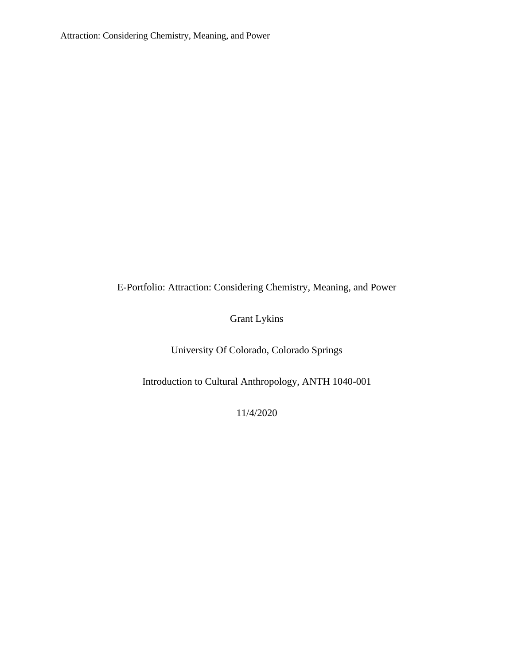E-Portfolio: Attraction: Considering Chemistry, Meaning, and Power

Grant Lykins

University Of Colorado, Colorado Springs

Introduction to Cultural Anthropology, ANTH 1040-001

11/4/2020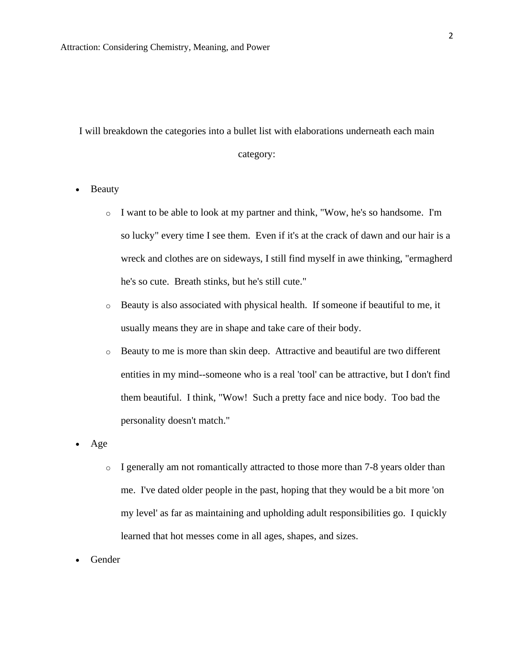I will breakdown the categories into a bullet list with elaborations underneath each main category:

• Beauty

- o I want to be able to look at my partner and think, "Wow, he's so handsome. I'm so lucky" every time I see them. Even if it's at the crack of dawn and our hair is a wreck and clothes are on sideways, I still find myself in awe thinking, "ermagherd he's so cute. Breath stinks, but he's still cute."
- o Beauty is also associated with physical health. If someone if beautiful to me, it usually means they are in shape and take care of their body.
- o Beauty to me is more than skin deep. Attractive and beautiful are two different entities in my mind--someone who is a real 'tool' can be attractive, but I don't find them beautiful. I think, "Wow! Such a pretty face and nice body. Too bad the personality doesn't match."
- Age
	- $\circ$  I generally am not romantically attracted to those more than 7-8 years older than me. I've dated older people in the past, hoping that they would be a bit more 'on my level' as far as maintaining and upholding adult responsibilities go. I quickly learned that hot messes come in all ages, shapes, and sizes.
- Gender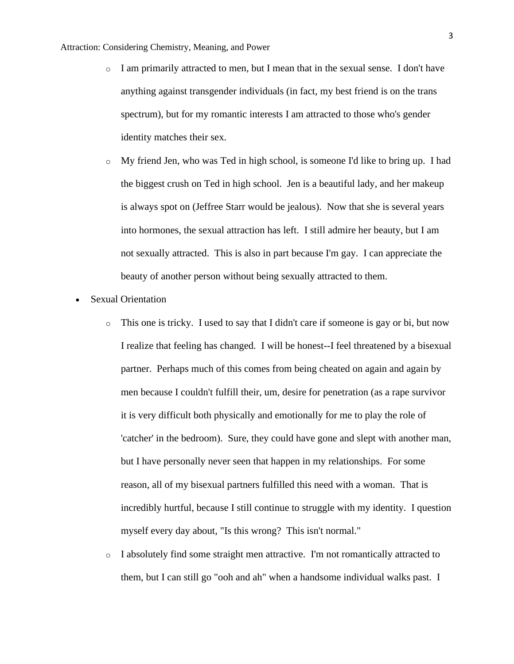- $\circ$  I am primarily attracted to men, but I mean that in the sexual sense. I don't have anything against transgender individuals (in fact, my best friend is on the trans spectrum), but for my romantic interests I am attracted to those who's gender identity matches their sex.
- o My friend Jen, who was Ted in high school, is someone I'd like to bring up. I had the biggest crush on Ted in high school. Jen is a beautiful lady, and her makeup is always spot on (Jeffree Starr would be jealous). Now that she is several years into hormones, the sexual attraction has left. I still admire her beauty, but I am not sexually attracted. This is also in part because I'm gay. I can appreciate the beauty of another person without being sexually attracted to them.
- Sexual Orientation
	- o This one is tricky. I used to say that I didn't care if someone is gay or bi, but now I realize that feeling has changed. I will be honest--I feel threatened by a bisexual partner. Perhaps much of this comes from being cheated on again and again by men because I couldn't fulfill their, um, desire for penetration (as a rape survivor it is very difficult both physically and emotionally for me to play the role of 'catcher' in the bedroom). Sure, they could have gone and slept with another man, but I have personally never seen that happen in my relationships. For some reason, all of my bisexual partners fulfilled this need with a woman. That is incredibly hurtful, because I still continue to struggle with my identity. I question myself every day about, "Is this wrong? This isn't normal."
	- o I absolutely find some straight men attractive. I'm not romantically attracted to them, but I can still go "ooh and ah" when a handsome individual walks past. I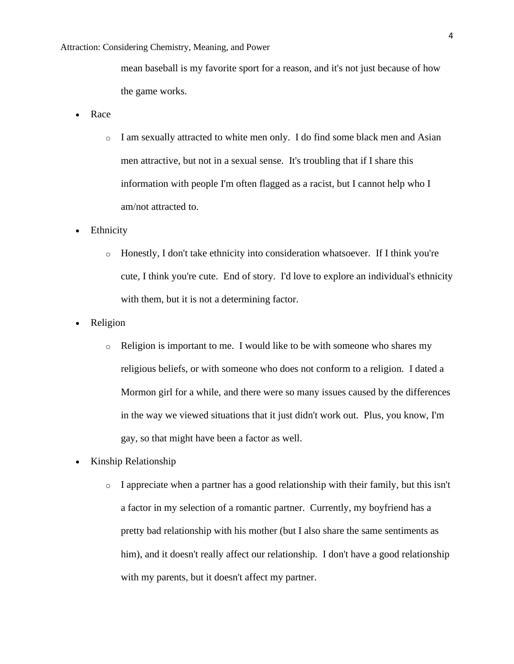## Attraction: Considering Chemistry, Meaning, and Power

mean baseball is my favorite sport for a reason, and it's not just because of how the game works.

- Race
	- o I am sexually attracted to white men only. I do find some black men and Asian men attractive, but not in a sexual sense. It's troubling that if I share this information with people I'm often flagged as a racist, but I cannot help who I am/not attracted to.
- Ethnicity
	- o Honestly, I don't take ethnicity into consideration whatsoever. If I think you're cute, I think you're cute. End of story. I'd love to explore an individual's ethnicity with them, but it is not a determining factor.
- **Religion** 
	- o Religion is important to me. I would like to be with someone who shares my religious beliefs, or with someone who does not conform to a religion. I dated a Mormon girl for a while, and there were so many issues caused by the differences in the way we viewed situations that it just didn't work out. Plus, you know, I'm gay, so that might have been a factor as well.
- Kinship Relationship
	- $\circ$  I appreciate when a partner has a good relationship with their family, but this isn't a factor in my selection of a romantic partner. Currently, my boyfriend has a pretty bad relationship with his mother (but I also share the same sentiments as him), and it doesn't really affect our relationship. I don't have a good relationship with my parents, but it doesn't affect my partner.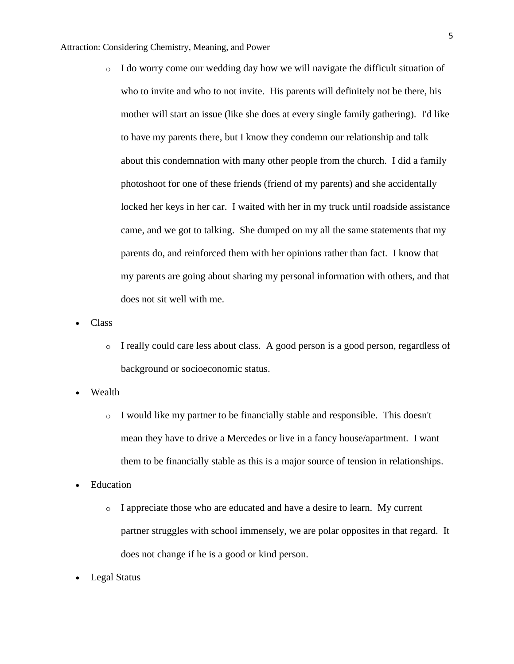- $\circ$  I do worry come our wedding day how we will navigate the difficult situation of who to invite and who to not invite. His parents will definitely not be there, his mother will start an issue (like she does at every single family gathering). I'd like to have my parents there, but I know they condemn our relationship and talk about this condemnation with many other people from the church. I did a family photoshoot for one of these friends (friend of my parents) and she accidentally locked her keys in her car. I waited with her in my truck until roadside assistance came, and we got to talking. She dumped on my all the same statements that my parents do, and reinforced them with her opinions rather than fact. I know that my parents are going about sharing my personal information with others, and that does not sit well with me.
- Class
	- o I really could care less about class. A good person is a good person, regardless of background or socioeconomic status.
- Wealth
	- o I would like my partner to be financially stable and responsible. This doesn't mean they have to drive a Mercedes or live in a fancy house/apartment. I want them to be financially stable as this is a major source of tension in relationships.
- Education
	- $\circ$  I appreciate those who are educated and have a desire to learn. My current partner struggles with school immensely, we are polar opposites in that regard. It does not change if he is a good or kind person.
- Legal Status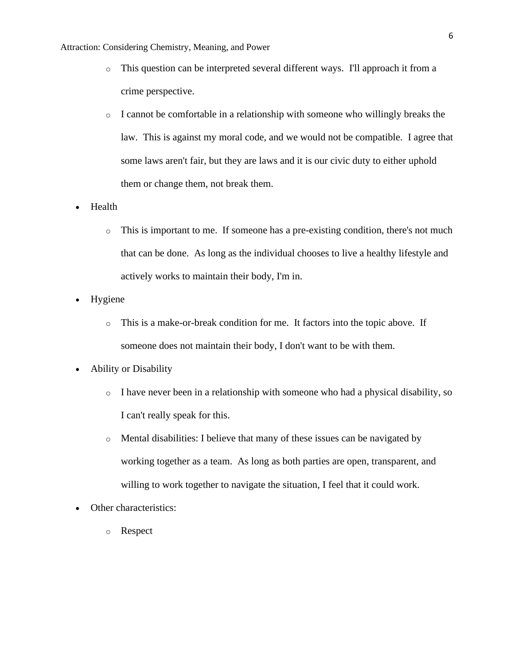## Attraction: Considering Chemistry, Meaning, and Power

- o This question can be interpreted several different ways. I'll approach it from a crime perspective.
- o I cannot be comfortable in a relationship with someone who willingly breaks the law. This is against my moral code, and we would not be compatible. I agree that some laws aren't fair, but they are laws and it is our civic duty to either uphold them or change them, not break them.
- Health
	- o This is important to me. If someone has a pre-existing condition, there's not much that can be done. As long as the individual chooses to live a healthy lifestyle and actively works to maintain their body, I'm in.
- Hygiene
	- o This is a make-or-break condition for me. It factors into the topic above. If someone does not maintain their body, I don't want to be with them.
- Ability or Disability
	- o I have never been in a relationship with someone who had a physical disability, so I can't really speak for this.
	- o Mental disabilities: I believe that many of these issues can be navigated by working together as a team. As long as both parties are open, transparent, and willing to work together to navigate the situation, I feel that it could work.
- Other characteristics:
	- o Respect